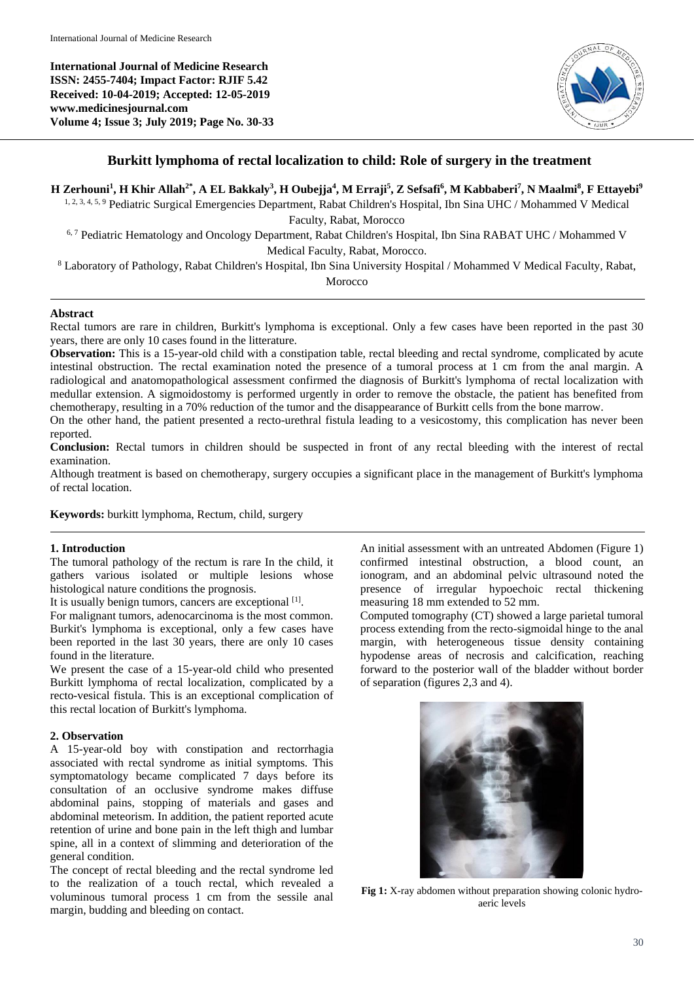**International Journal of Medicine Research ISSN: 2455-7404; Impact Factor: RJIF 5.42 Received: 10-04-2019; Accepted: 12-05-2019 www.medicinesjournal.com Volume 4; Issue 3; July 2019; Page No. 30-33**



# **Burkitt lymphoma of rectal localization to child: Role of surgery in the treatment**

# H Zerhouni<sup>1</sup>, H Khir Allah<sup>2\*</sup>, A EL Bakkaly<sup>3</sup>, H Oubejja<sup>4</sup>, M Erraji<sup>5</sup>, Z Sefsafi<sup>6</sup>, M Kabbaberi<sup>7</sup>, N Maalmi<sup>8</sup>, F Ettayebi<sup>9</sup>

1, 2, 3, 4, 5, <sup>9</sup> Pediatric Surgical Emergencies Department, Rabat Children's Hospital, Ibn Sina UHC / Mohammed V Medical Faculty, Rabat, Morocco

<sup>6, 7</sup> Pediatric Hematology and Oncology Department, Rabat Children's Hospital, Ibn Sina RABAT UHC / Mohammed V Medical Faculty, Rabat, Morocco.

<sup>8</sup> Laboratory of Pathology, Rabat Children's Hospital, Ibn Sina University Hospital / Mohammed V Medical Faculty, Rabat,

Morocco

# **Abstract**

Rectal tumors are rare in children, Burkitt's lymphoma is exceptional. Only a few cases have been reported in the past 30 years, there are only 10 cases found in the litterature.

**Observation:** This is a 15-year-old child with a constipation table, rectal bleeding and rectal syndrome, complicated by acute intestinal obstruction. The rectal examination noted the presence of a tumoral process at 1 cm from the anal margin. A radiological and anatomopathological assessment confirmed the diagnosis of Burkitt's lymphoma of rectal localization with medullar extension. A sigmoidostomy is performed urgently in order to remove the obstacle, the patient has benefited from chemotherapy, resulting in a 70% reduction of the tumor and the disappearance of Burkitt cells from the bone marrow.

On the other hand, the patient presented a recto-urethral fistula leading to a vesicostomy, this complication has never been reported.

**Conclusion:** Rectal tumors in children should be suspected in front of any rectal bleeding with the interest of rectal examination.

Although treatment is based on chemotherapy, surgery occupies a significant place in the management of Burkitt's lymphoma of rectal location.

**Keywords:** burkitt lymphoma, Rectum, child, surgery

### **1. Introduction**

The tumoral pathology of the rectum is rare In the child, it gathers various isolated or multiple lesions whose histological nature conditions the prognosis.

It is usually benign tumors, cancers are exceptional [1].

For malignant tumors, adenocarcinoma is the most common. Burkit's lymphoma is exceptional, only a few cases have been reported in the last 30 years, there are only 10 cases found in the literature.

We present the case of a 15-year-old child who presented Burkitt lymphoma of rectal localization, complicated by a recto-vesical fistula. This is an exceptional complication of this rectal location of Burkitt's lymphoma.

### **2. Observation**

A 15-year-old boy with constipation and rectorrhagia associated with rectal syndrome as initial symptoms. This symptomatology became complicated 7 days before its consultation of an occlusive syndrome makes diffuse abdominal pains, stopping of materials and gases and abdominal meteorism. In addition, the patient reported acute retention of urine and bone pain in the left thigh and lumbar spine, all in a context of slimming and deterioration of the general condition.

The concept of rectal bleeding and the rectal syndrome led to the realization of a touch rectal, which revealed a voluminous tumoral process 1 cm from the sessile anal margin, budding and bleeding on contact.

An initial assessment with an untreated Abdomen (Figure 1) confirmed intestinal obstruction, a blood count, an ionogram, and an abdominal pelvic ultrasound noted the presence of irregular hypoechoic rectal thickening measuring 18 mm extended to 52 mm.

Computed tomography (CT) showed a large parietal tumoral process extending from the recto-sigmoidal hinge to the anal margin, with heterogeneous tissue density containing hypodense areas of necrosis and calcification, reaching forward to the posterior wall of the bladder without border of separation (figures 2,3 and 4).



**Fig 1:** X-ray abdomen without preparation showing colonic hydroaeric levels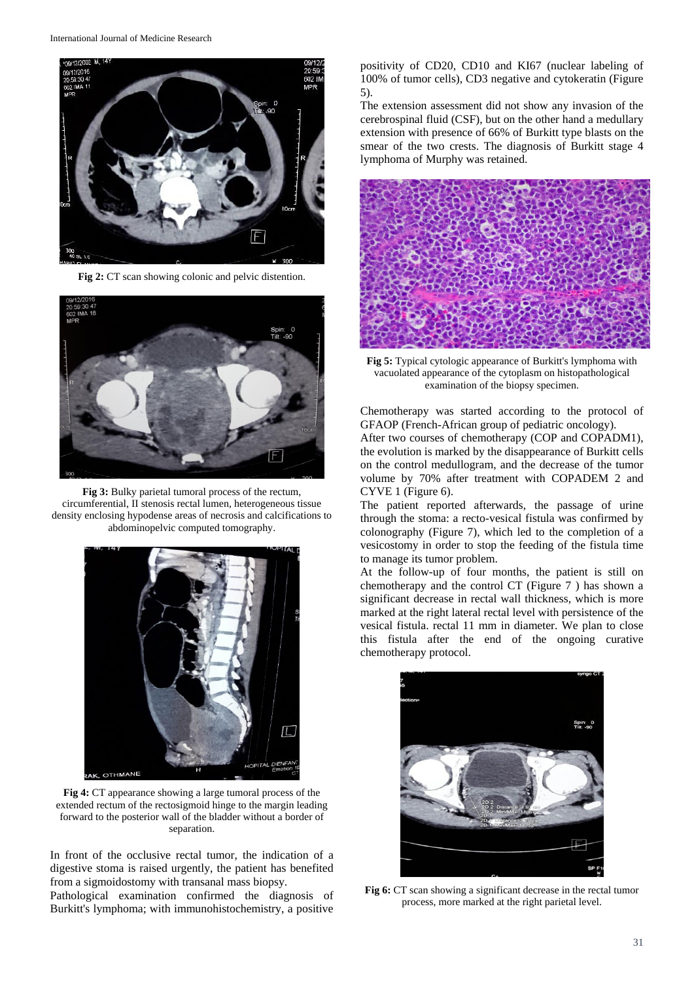

**Fig 2:** CT scan showing colonic and pelvic distention.



**Fig 3:** Bulky parietal tumoral process of the rectum, circumferential, II stenosis rectal lumen, heterogeneous tissue density enclosing hypodense areas of necrosis and calcifications to abdominopelvic computed tomography.



**Fig 4:** CT appearance showing a large tumoral process of the extended rectum of the rectosigmoid hinge to the margin leading forward to the posterior wall of the bladder without a border of separation.

In front of the occlusive rectal tumor, the indication of a digestive stoma is raised urgently, the patient has benefited from a sigmoidostomy with transanal mass biopsy. Pathological examination confirmed the diagnosis of

Burkitt's lymphoma; with immunohistochemistry, a positive

positivity of CD20, CD10 and KI67 (nuclear labeling of 100% of tumor cells), CD3 negative and cytokeratin (Figure 5).

The extension assessment did not show any invasion of the cerebrospinal fluid (CSF), but on the other hand a medullary extension with presence of 66% of Burkitt type blasts on the smear of the two crests. The diagnosis of Burkitt stage 4 lymphoma of Murphy was retained.



**Fig 5:** Typical cytologic appearance of Burkitt's lymphoma with vacuolated appearance of the cytoplasm on histopathological examination of the biopsy specimen.

Chemotherapy was started according to the protocol of GFAOP (French-African group of pediatric oncology).

After two courses of chemotherapy (COP and COPADM1), the evolution is marked by the disappearance of Burkitt cells on the control medullogram, and the decrease of the tumor volume by 70% after treatment with COPADEM 2 and CYVE 1 (Figure 6).

The patient reported afterwards, the passage of urine through the stoma: a recto-vesical fistula was confirmed by colonography (Figure 7), which led to the completion of a vesicostomy in order to stop the feeding of the fistula time to manage its tumor problem.

At the follow-up of four months, the patient is still on chemotherapy and the control CT (Figure 7 ) has shown a significant decrease in rectal wall thickness, which is more marked at the right lateral rectal level with persistence of the vesical fistula. rectal 11 mm in diameter. We plan to close this fistula after the end of the ongoing curative chemotherapy protocol.



**Fig 6:** CT scan showing a significant decrease in the rectal tumor process, more marked at the right parietal level.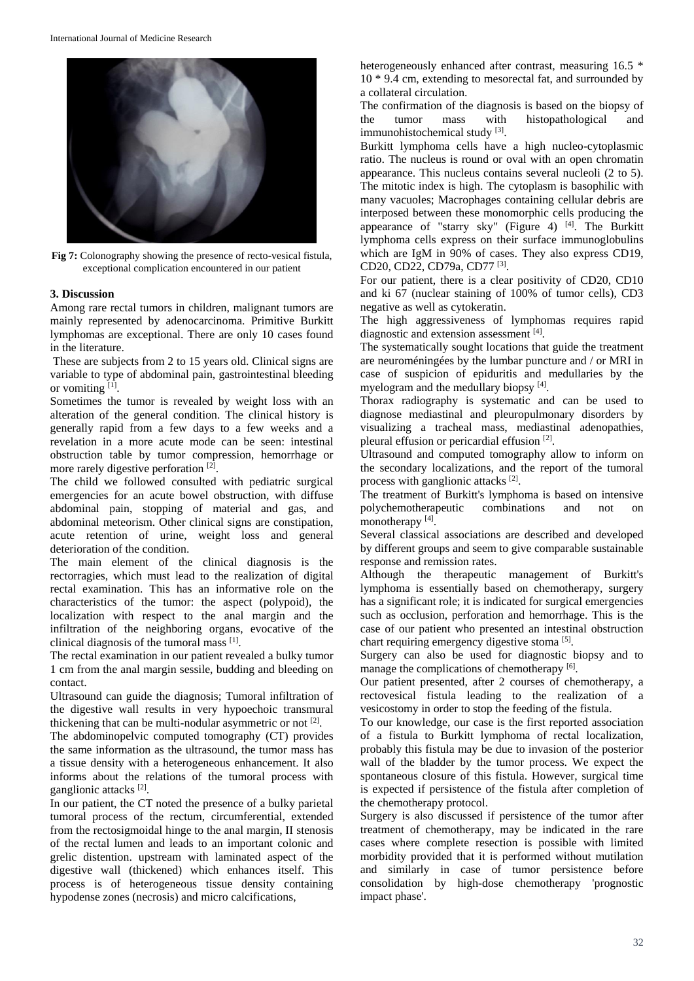

**Fig 7:** Colonography showing the presence of recto-vesical fistula, exceptional complication encountered in our patient

#### **3. Discussion**

Among rare rectal tumors in children, malignant tumors are mainly represented by adenocarcinoma. Primitive Burkitt lymphomas are exceptional. There are only 10 cases found in the literature.

These are subjects from 2 to 15 years old. Clinical signs are variable to type of abdominal pain, gastrointestinal bleeding or vomiting [1].

Sometimes the tumor is revealed by weight loss with an alteration of the general condition. The clinical history is generally rapid from a few days to a few weeks and a revelation in a more acute mode can be seen: intestinal obstruction table by tumor compression, hemorrhage or more rarely digestive perforation [2].

The child we followed consulted with pediatric surgical emergencies for an acute bowel obstruction, with diffuse abdominal pain, stopping of material and gas, and abdominal meteorism. Other clinical signs are constipation, acute retention of urine, weight loss and general deterioration of the condition.

The main element of the clinical diagnosis is the rectorragies, which must lead to the realization of digital rectal examination. This has an informative role on the characteristics of the tumor: the aspect (polypoid), the localization with respect to the anal margin and the infiltration of the neighboring organs, evocative of the clinical diagnosis of the tumoral mass [1].

The rectal examination in our patient revealed a bulky tumor 1 cm from the anal margin sessile, budding and bleeding on contact.

Ultrasound can guide the diagnosis; Tumoral infiltration of the digestive wall results in very hypoechoic transmural thickening that can be multi-nodular asymmetric or not [2].

The abdominopelvic computed tomography (CT) provides the same information as the ultrasound, the tumor mass has a tissue density with a heterogeneous enhancement. It also informs about the relations of the tumoral process with ganglionic attacks<sup>[2]</sup>.

In our patient, the CT noted the presence of a bulky parietal tumoral process of the rectum, circumferential, extended from the rectosigmoidal hinge to the anal margin, II stenosis of the rectal lumen and leads to an important colonic and grelic distention. upstream with laminated aspect of the digestive wall (thickened) which enhances itself. This process is of heterogeneous tissue density containing hypodense zones (necrosis) and micro calcifications,

heterogeneously enhanced after contrast, measuring 16.5  $*$ 10 \* 9.4 cm, extending to mesorectal fat, and surrounded by a collateral circulation.

The confirmation of the diagnosis is based on the biopsy of the tumor mass with histopathological and immunohistochemical study [3].

Burkitt lymphoma cells have a high nucleo-cytoplasmic ratio. The nucleus is round or oval with an open chromatin appearance. This nucleus contains several nucleoli (2 to 5). The mitotic index is high. The cytoplasm is basophilic with many vacuoles; Macrophages containing cellular debris are interposed between these monomorphic cells producing the appearance of "starry sky" (Figure 4)  $[4]$ . The Burkitt lymphoma cells express on their surface immunoglobulins which are IgM in 90% of cases. They also express CD19, CD20, CD22, CD79a, CD77<sup>[3]</sup>.

For our patient, there is a clear positivity of CD20, CD10 and ki 67 (nuclear staining of 100% of tumor cells), CD3 negative as well as cytokeratin.

The high aggressiveness of lymphomas requires rapid diagnostic and extension assessment [4].

The systematically sought locations that guide the treatment are neuroméningées by the lumbar puncture and / or MRI in case of suspicion of epiduritis and medullaries by the myelogram and the medullary biopsy [4].

Thorax radiography is systematic and can be used to diagnose mediastinal and pleuropulmonary disorders by visualizing a tracheal mass, mediastinal adenopathies, pleural effusion or pericardial effusion [2].

Ultrasound and computed tomography allow to inform on the secondary localizations, and the report of the tumoral process with ganglionic attacks [2].

The treatment of Burkitt's lymphoma is based on intensive polychemotherapeutic combinations and not on monotherapy [4].

Several classical associations are described and developed by different groups and seem to give comparable sustainable response and remission rates.

Although the therapeutic management of Burkitt's lymphoma is essentially based on chemotherapy, surgery has a significant role; it is indicated for surgical emergencies such as occlusion, perforation and hemorrhage. This is the case of our patient who presented an intestinal obstruction chart requiring emergency digestive stoma<sup>[5]</sup>.

Surgery can also be used for diagnostic biopsy and to manage the complications of chemotherapy [6].

Our patient presented, after 2 courses of chemotherapy, a rectovesical fistula leading to the realization of a vesicostomy in order to stop the feeding of the fistula.

To our knowledge, our case is the first reported association of a fistula to Burkitt lymphoma of rectal localization, probably this fistula may be due to invasion of the posterior wall of the bladder by the tumor process. We expect the spontaneous closure of this fistula. However, surgical time is expected if persistence of the fistula after completion of the chemotherapy protocol.

Surgery is also discussed if persistence of the tumor after treatment of chemotherapy, may be indicated in the rare cases where complete resection is possible with limited morbidity provided that it is performed without mutilation and similarly in case of tumor persistence before consolidation by high-dose chemotherapy 'prognostic impact phase'.